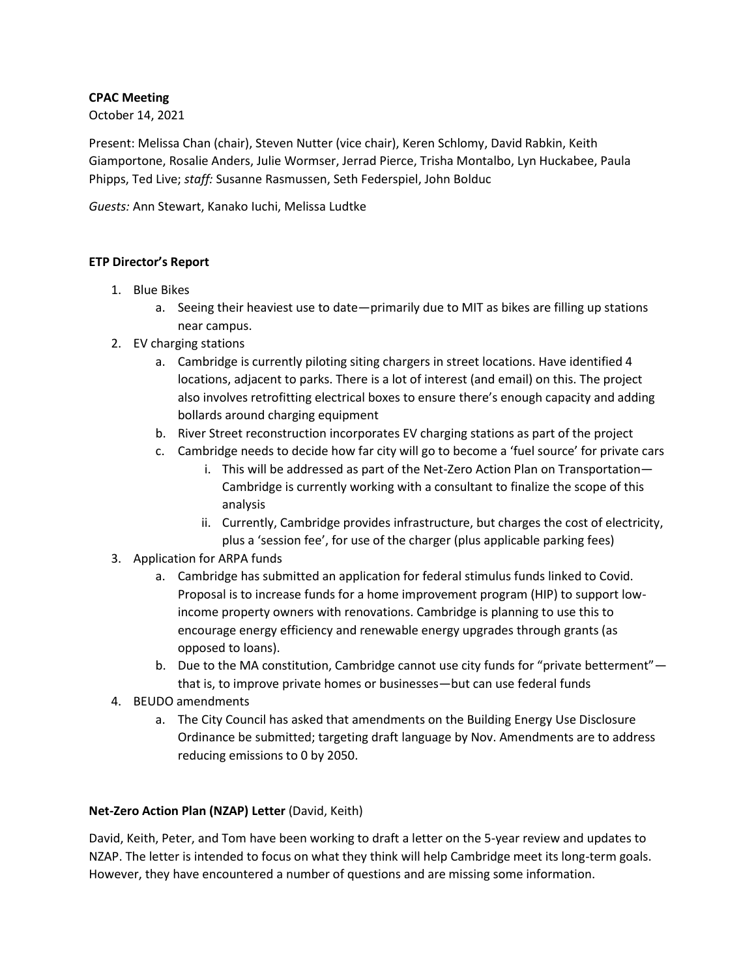## **CPAC Meeting**

October 14, 2021

Present: Melissa Chan (chair), Steven Nutter (vice chair), Keren Schlomy, David Rabkin, Keith Giamportone, Rosalie Anders, Julie Wormser, Jerrad Pierce, Trisha Montalbo, Lyn Huckabee, Paula Phipps, Ted Live; *staff:* Susanne Rasmussen, Seth Federspiel, John Bolduc

*Guests:* Ann Stewart, Kanako Iuchi, Melissa Ludtke

## **ETP Director's Report**

- 1. Blue Bikes
	- a. Seeing their heaviest use to date—primarily due to MIT as bikes are filling up stations near campus.
- 2. EV charging stations
	- a. Cambridge is currently piloting siting chargers in street locations. Have identified 4 locations, adjacent to parks. There is a lot of interest (and email) on this. The project also involves retrofitting electrical boxes to ensure there's enough capacity and adding bollards around charging equipment
	- b. River Street reconstruction incorporates EV charging stations as part of the project
	- c. Cambridge needs to decide how far city will go to become a 'fuel source' for private cars
		- i. This will be addressed as part of the Net-Zero Action Plan on Transportation— Cambridge is currently working with a consultant to finalize the scope of this analysis
		- ii. Currently, Cambridge provides infrastructure, but charges the cost of electricity, plus a 'session fee', for use of the charger (plus applicable parking fees)
- 3. Application for ARPA funds
	- a. Cambridge has submitted an application for federal stimulus funds linked to Covid. Proposal is to increase funds for a home improvement program (HIP) to support lowincome property owners with renovations. Cambridge is planning to use this to encourage energy efficiency and renewable energy upgrades through grants (as opposed to loans).
	- b. Due to the MA constitution, Cambridge cannot use city funds for "private betterment" that is, to improve private homes or businesses—but can use federal funds
- 4. BEUDO amendments
	- a. The City Council has asked that amendments on the Building Energy Use Disclosure Ordinance be submitted; targeting draft language by Nov. Amendments are to address reducing emissions to 0 by 2050.

# **Net-Zero Action Plan (NZAP) Letter** (David, Keith)

David, Keith, Peter, and Tom have been working to draft a letter on the 5-year review and updates to NZAP. The letter is intended to focus on what they think will help Cambridge meet its long-term goals. However, they have encountered a number of questions and are missing some information.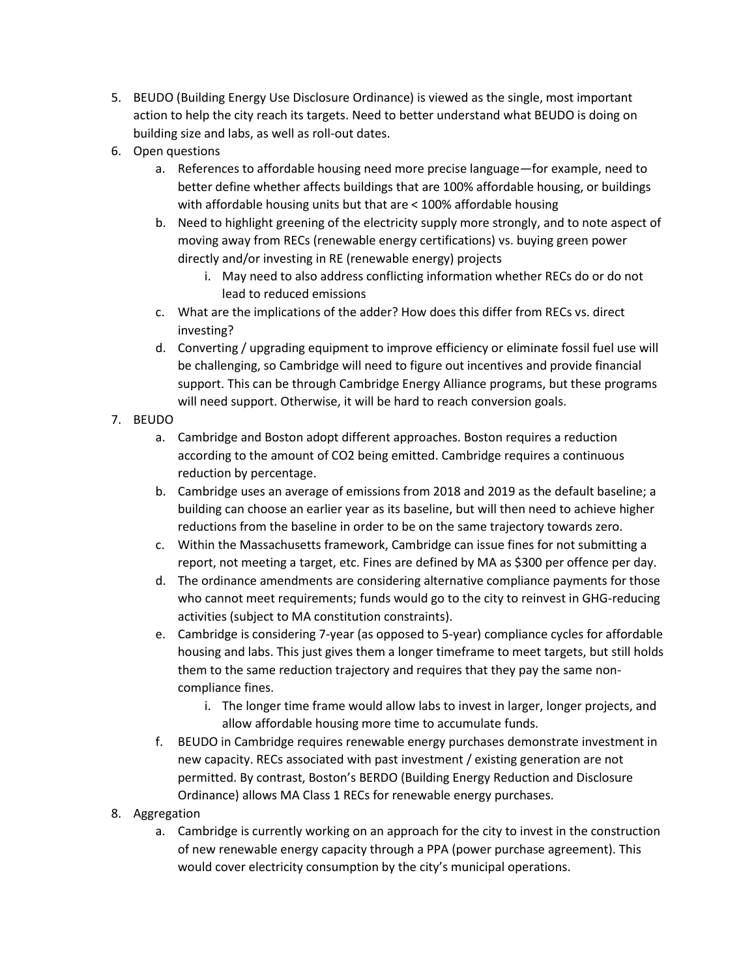- 5. BEUDO (Building Energy Use Disclosure Ordinance) is viewed as the single, most important action to help the city reach its targets. Need to better understand what BEUDO is doing on building size and labs, as well as roll-out dates.
- 6. Open questions
	- a. References to affordable housing need more precise language—for example, need to better define whether affects buildings that are 100% affordable housing, or buildings with affordable housing units but that are < 100% affordable housing
	- b. Need to highlight greening of the electricity supply more strongly, and to note aspect of moving away from RECs (renewable energy certifications) vs. buying green power directly and/or investing in RE (renewable energy) projects
		- i. May need to also address conflicting information whether RECs do or do not lead to reduced emissions
	- c. What are the implications of the adder? How does this differ from RECs vs. direct investing?
	- d. Converting / upgrading equipment to improve efficiency or eliminate fossil fuel use will be challenging, so Cambridge will need to figure out incentives and provide financial support. This can be through Cambridge Energy Alliance programs, but these programs will need support. Otherwise, it will be hard to reach conversion goals.

# 7. BEUDO

- a. Cambridge and Boston adopt different approaches. Boston requires a reduction according to the amount of CO2 being emitted. Cambridge requires a continuous reduction by percentage.
- b. Cambridge uses an average of emissions from 2018 and 2019 as the default baseline; a building can choose an earlier year as its baseline, but will then need to achieve higher reductions from the baseline in order to be on the same trajectory towards zero.
- c. Within the Massachusetts framework, Cambridge can issue fines for not submitting a report, not meeting a target, etc. Fines are defined by MA as \$300 per offence per day.
- d. The ordinance amendments are considering alternative compliance payments for those who cannot meet requirements; funds would go to the city to reinvest in GHG-reducing activities (subject to MA constitution constraints).
- e. Cambridge is considering 7-year (as opposed to 5-year) compliance cycles for affordable housing and labs. This just gives them a longer timeframe to meet targets, but still holds them to the same reduction trajectory and requires that they pay the same noncompliance fines.
	- i. The longer time frame would allow labs to invest in larger, longer projects, and allow affordable housing more time to accumulate funds.
- f. BEUDO in Cambridge requires renewable energy purchases demonstrate investment in new capacity. RECs associated with past investment / existing generation are not permitted. By contrast, Boston's BERDO (Building Energy Reduction and Disclosure Ordinance) allows MA Class 1 RECs for renewable energy purchases.
- 8. Aggregation
	- a. Cambridge is currently working on an approach for the city to invest in the construction of new renewable energy capacity through a PPA (power purchase agreement). This would cover electricity consumption by the city's municipal operations.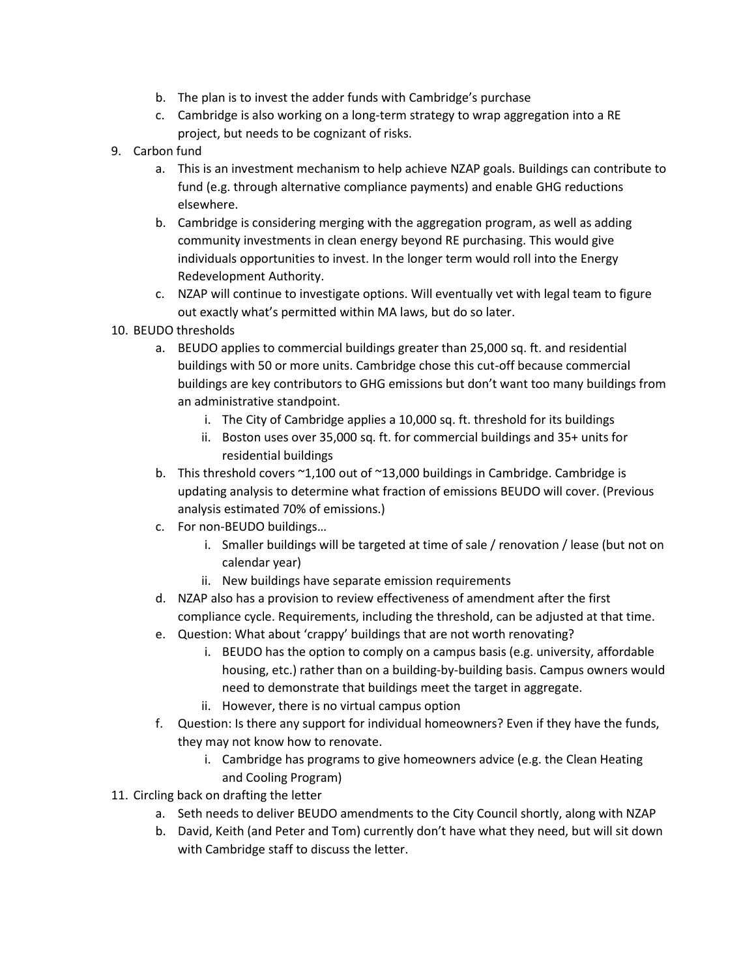- b. The plan is to invest the adder funds with Cambridge's purchase
- c. Cambridge is also working on a long-term strategy to wrap aggregation into a RE project, but needs to be cognizant of risks.
- 9. Carbon fund
	- a. This is an investment mechanism to help achieve NZAP goals. Buildings can contribute to fund (e.g. through alternative compliance payments) and enable GHG reductions elsewhere.
	- b. Cambridge is considering merging with the aggregation program, as well as adding community investments in clean energy beyond RE purchasing. This would give individuals opportunities to invest. In the longer term would roll into the Energy Redevelopment Authority.
	- c. NZAP will continue to investigate options. Will eventually vet with legal team to figure out exactly what's permitted within MA laws, but do so later.
- 10. BEUDO thresholds
	- a. BEUDO applies to commercial buildings greater than 25,000 sq. ft. and residential buildings with 50 or more units. Cambridge chose this cut-off because commercial buildings are key contributors to GHG emissions but don't want too many buildings from an administrative standpoint.
		- i. The City of Cambridge applies a 10,000 sq. ft. threshold for its buildings
		- ii. Boston uses over 35,000 sq. ft. for commercial buildings and 35+ units for residential buildings
	- b. This threshold covers ~1,100 out of ~13,000 buildings in Cambridge. Cambridge is updating analysis to determine what fraction of emissions BEUDO will cover. (Previous analysis estimated 70% of emissions.)
	- c. For non-BEUDO buildings…
		- i. Smaller buildings will be targeted at time of sale / renovation / lease (but not on calendar year)
		- ii. New buildings have separate emission requirements
	- d. NZAP also has a provision to review effectiveness of amendment after the first compliance cycle. Requirements, including the threshold, can be adjusted at that time.
	- e. Question: What about 'crappy' buildings that are not worth renovating?
		- i. BEUDO has the option to comply on a campus basis (e.g. university, affordable housing, etc.) rather than on a building-by-building basis. Campus owners would need to demonstrate that buildings meet the target in aggregate.
		- ii. However, there is no virtual campus option
	- f. Question: Is there any support for individual homeowners? Even if they have the funds, they may not know how to renovate.
		- i. Cambridge has programs to give homeowners advice (e.g. the Clean Heating and Cooling Program)
- 11. Circling back on drafting the letter
	- a. Seth needs to deliver BEUDO amendments to the City Council shortly, along with NZAP
	- b. David, Keith (and Peter and Tom) currently don't have what they need, but will sit down with Cambridge staff to discuss the letter.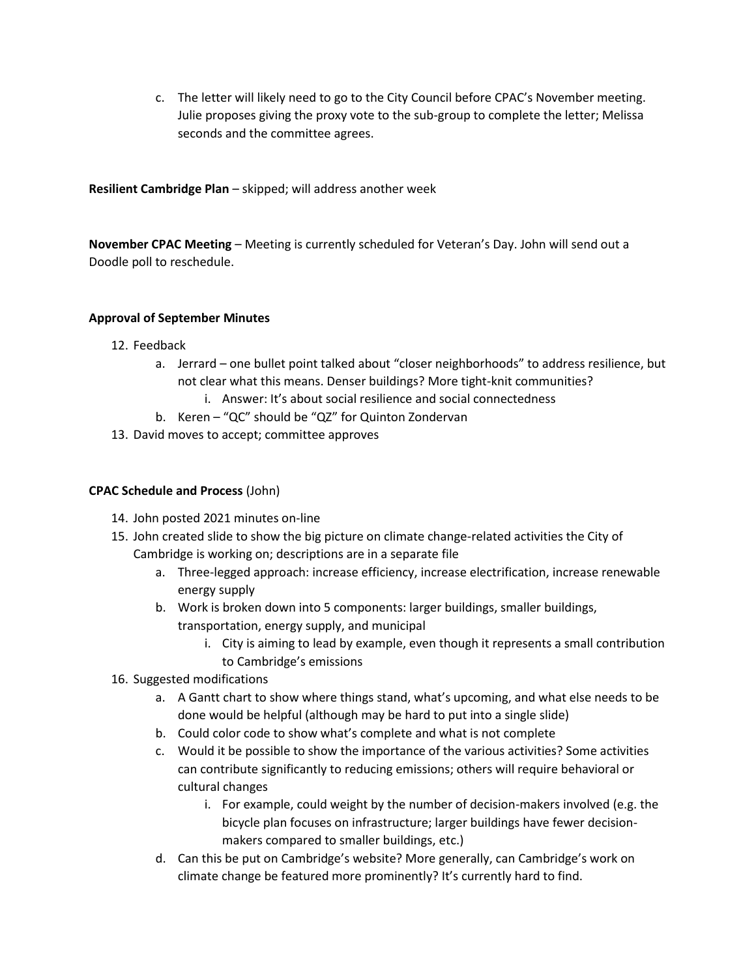c. The letter will likely need to go to the City Council before CPAC's November meeting. Julie proposes giving the proxy vote to the sub-group to complete the letter; Melissa seconds and the committee agrees.

**Resilient Cambridge Plan** – skipped; will address another week

**November CPAC Meeting** – Meeting is currently scheduled for Veteran's Day. John will send out a Doodle poll to reschedule.

## **Approval of September Minutes**

- 12. Feedback
	- a. Jerrard one bullet point talked about "closer neighborhoods" to address resilience, but not clear what this means. Denser buildings? More tight-knit communities?
		- i. Answer: It's about social resilience and social connectedness
	- b. Keren "QC" should be "QZ" for Quinton Zondervan
- 13. David moves to accept; committee approves

## **CPAC Schedule and Process** (John)

- 14. John posted 2021 minutes on-line
- 15. John created slide to show the big picture on climate change-related activities the City of Cambridge is working on; descriptions are in a separate file
	- a. Three-legged approach: increase efficiency, increase electrification, increase renewable energy supply
	- b. Work is broken down into 5 components: larger buildings, smaller buildings, transportation, energy supply, and municipal
		- i. City is aiming to lead by example, even though it represents a small contribution to Cambridge's emissions
- 16. Suggested modifications
	- a. A Gantt chart to show where things stand, what's upcoming, and what else needs to be done would be helpful (although may be hard to put into a single slide)
	- b. Could color code to show what's complete and what is not complete
	- c. Would it be possible to show the importance of the various activities? Some activities can contribute significantly to reducing emissions; others will require behavioral or cultural changes
		- i. For example, could weight by the number of decision-makers involved (e.g. the bicycle plan focuses on infrastructure; larger buildings have fewer decisionmakers compared to smaller buildings, etc.)
	- d. Can this be put on Cambridge's website? More generally, can Cambridge's work on climate change be featured more prominently? It's currently hard to find.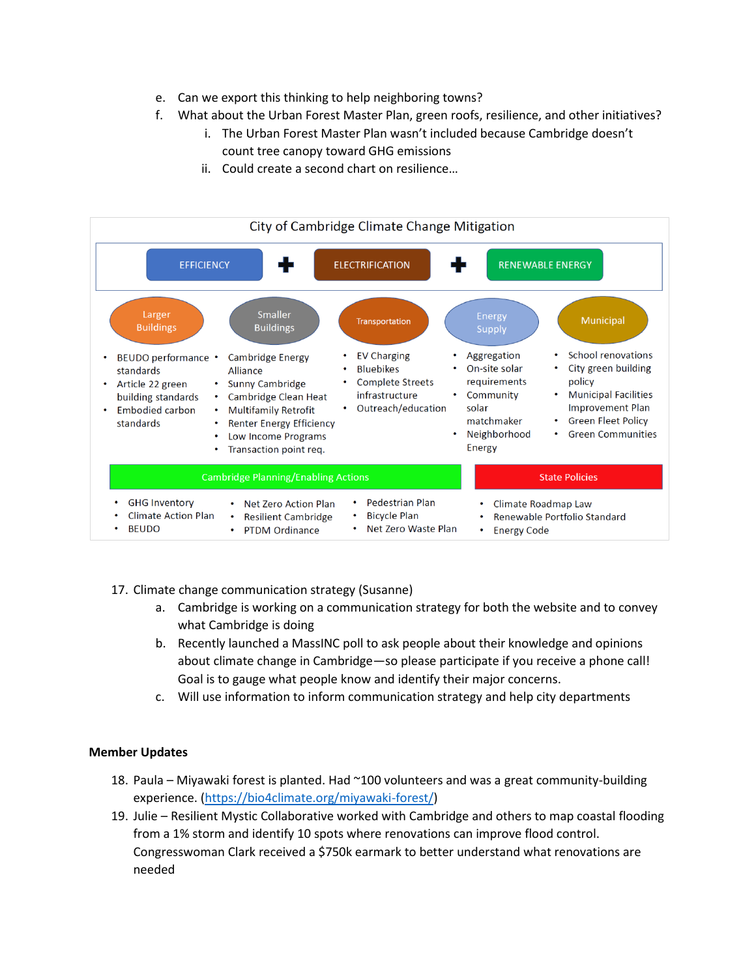- e. Can we export this thinking to help neighboring towns?
- f. What about the Urban Forest Master Plan, green roofs, resilience, and other initiatives?
	- i. The Urban Forest Master Plan wasn't included because Cambridge doesn't count tree canopy toward GHG emissions
	- ii. Could create a second chart on resilience…



- 17. Climate change communication strategy (Susanne)
	- a. Cambridge is working on a communication strategy for both the website and to convey what Cambridge is doing
	- b. Recently launched a MassINC poll to ask people about their knowledge and opinions about climate change in Cambridge—so please participate if you receive a phone call! Goal is to gauge what people know and identify their major concerns.
	- c. Will use information to inform communication strategy and help city departments

#### **Member Updates**

- 18. Paula Miyawaki forest is planted. Had ~100 volunteers and was a great community-building experience. [\(https://bio4climate.org/miyawaki-forest/\)](https://bio4climate.org/miyawaki-forest/)
- 19. Julie Resilient Mystic Collaborative worked with Cambridge and others to map coastal flooding from a 1% storm and identify 10 spots where renovations can improve flood control. Congresswoman Clark received a \$750k earmark to better understand what renovations are needed